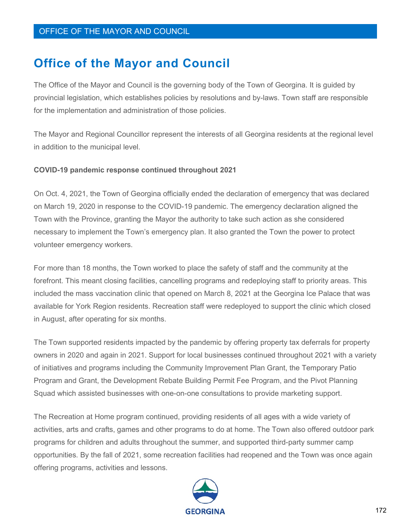# **Office of the Mayor and Council**

The Office of the Mayor and Council is the governing body of the Town of Georgina. It is guided by provincial legislation, which establishes policies by resolutions and by-laws. Town staff are responsible for the implementation and administration of those policies.

The Mayor and Regional Councillor represent the interests of all Georgina residents at the regional level in addition to the municipal level.

#### **COVID-19 pandemic response continued throughout 2021**

On Oct. 4, 2021, the Town of Georgina officially ended the declaration of emergency that was declared on March 19, 2020 in response to the COVID-19 pandemic. The emergency declaration aligned the Town with the Province, granting the Mayor the authority to take such action as she considered necessary to implement the Town's emergency plan. It also granted the Town the power to protect volunteer emergency workers.

For more than 18 months, the Town worked to place the safety of staff and the community at the forefront. This meant closing facilities, cancelling programs and redeploying staff to priority areas. This included the mass vaccination clinic that opened on March 8, 2021 at the Georgina Ice Palace that was available for York Region residents. Recreation staff were redeployed to support the clinic which closed in August, after operating for six months.

The Town supported residents impacted by the pandemic by offering property tax deferrals for property owners in 2020 and again in 2021. Support for local businesses continued throughout 2021 with a variety of initiatives and programs including the Community Improvement Plan Grant, the Temporary Patio Program and Grant, the Development Rebate Building Permit Fee Program, and the Pivot Planning Squad which assisted businesses with one-on-one consultations to provide marketing support.

The Recreation at Home program continued, providing residents of all ages with a wide variety of activities, arts and crafts, games and other programs to do at home. The Town also offered outdoor park programs for children and adults throughout the summer, and supported third-party summer camp opportunities. By the fall of 2021, some recreation facilities had reopened and the Town was once again offering programs, activities and lessons.

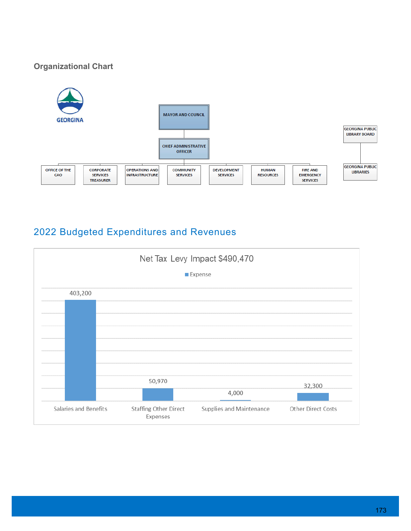## **Organizational Chart**



# 2022 Budgeted Expenditures and Revenues